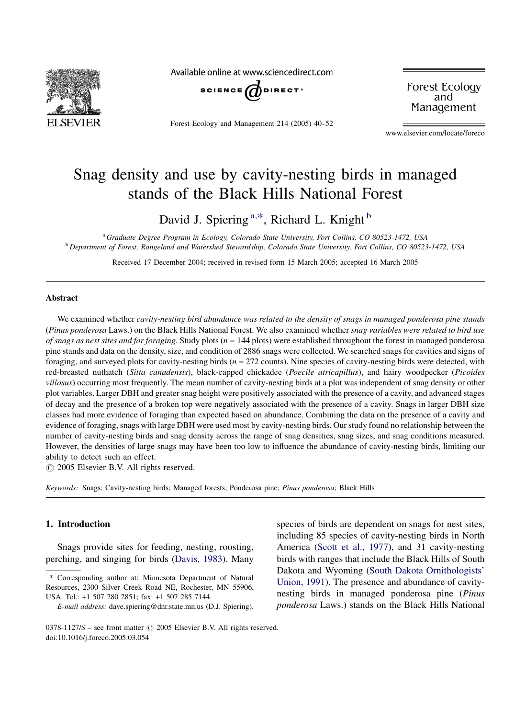

Available online at www.sciencedirect.com



Forest Ecology and Management 214 (2005) 40–52

**Forest Ecology** and Management

www.elsevier.com/locate/foreco

# Snag density and use by cavity-nesting birds in managed stands of the Black Hills National Forest

David J. Spiering<sup>a,\*</sup>, Richard L. Knight<sup>b</sup>

<sup>a</sup> Graduate Degree Program in Ecology, Colorado State University, Fort Collins, CO 80523-1472, USA <sup>b</sup> Department of Forest, Rangeland and Watershed Stewardship, Colorado State University, Fort Collins, CO 80523-1472, USA

Received 17 December 2004; received in revised form 15 March 2005; accepted 16 March 2005

## Abstract

We examined whether cavity-nesting bird abundance was related to the density of snags in managed ponderosa pine stands (Pinus ponderosa Laws.) on the Black Hills National Forest. We also examined whether snag variables were related to bird use of snags as nest sites and for foraging. Study plots ( $n = 144$  plots) were established throughout the forest in managed ponderosa pine stands and data on the density, size, and condition of 2886 snags were collected. We searched snags for cavities and signs of foraging, and surveyed plots for cavity-nesting birds  $(n = 272 \text{ counts})$ . Nine species of cavity-nesting birds were detected, with red-breasted nuthatch (Sitta canadensis), black-capped chickadee (Poecile atricapillus), and hairy woodpecker (Picoides villosus) occurring most frequently. The mean number of cavity-nesting birds at a plot was independent of snag density or other plot variables. Larger DBH and greater snag height were positively associated with the presence of a cavity, and advanced stages of decay and the presence of a broken top were negatively associated with the presence of a cavity. Snags in larger DBH size classes had more evidence of foraging than expected based on abundance. Combining the data on the presence of a cavity and evidence of foraging, snags with large DBH were used most by cavity-nesting birds. Our study found no relationship between the number of cavity-nesting birds and snag density across the range of snag densities, snag sizes, and snag conditions measured. However, the densities of large snags may have been too low to influence the abundance of cavity-nesting birds, limiting our ability to detect such an effect.

 $\odot$  2005 Elsevier B.V. All rights reserved.

Keywords: Snags; Cavity-nesting birds; Managed forests; Ponderosa pine; Pinus ponderosa; Black Hills

## 1. Introduction

Snags provide sites for feeding, nesting, roosting, perching, and singing for birds [\(Davis, 1983](#page-11-0)). Many

\* Corresponding author at: Minnesota Department of Natural Resources, 2300 Silver Creek Road NE, Rochester, MN 55906, USA. Tel.: +1 507 280 2851; fax: +1 507 285 7144.

species of birds are dependent on snags for nest sites, including 85 species of cavity-nesting birds in North America ([Scott et al., 1977\)](#page-11-0), and 31 cavity-nesting birds with ranges that include the Black Hills of South Dakota and Wyoming [\(South Dakota Ornithologists'](#page-11-0) [Union, 1991\)](#page-11-0). The presence and abundance of cavitynesting birds in managed ponderosa pine (Pinus ponderosa Laws.) stands on the Black Hills National

E-mail address: dave.spiering@dnr.state.mn.us (D.J. Spiering).

<sup>0378-1127/\$ –</sup> see front matter  $\odot$  2005 Elsevier B.V. All rights reserved. doi:10.1016/j.foreco.2005.03.054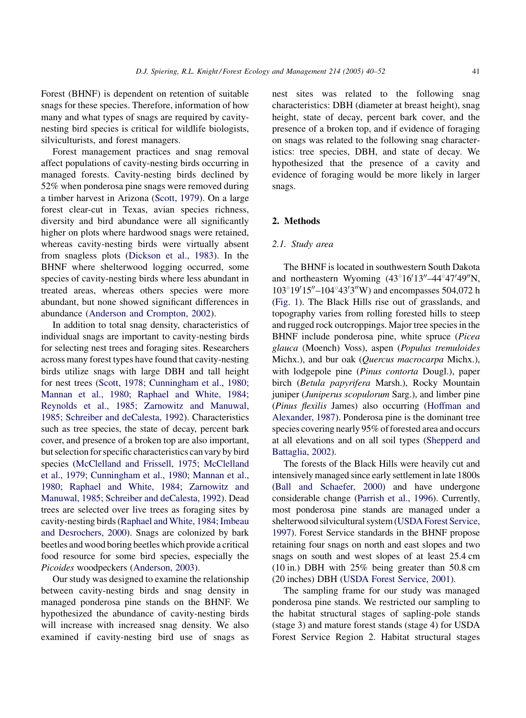Forest (BHNF) is dependent on retention of suitable snags for these species. Therefore, information of how many and what types of snags are required by cavitynesting bird species is critical for wildlife biologists, silviculturists, and forest managers.

Forest management practices and snag removal affect populations of cavity-nesting birds occurring in managed forests. Cavity-nesting birds declined by 52% when ponderosa pine snags were removed during a timber harvest in Arizona [\(Scott, 1979](#page-11-0)). On a large forest clear-cut in Texas, avian species richness, diversity and bird abundance were all significantly higher on plots where hardwood snags were retained, whereas cavity-nesting birds were virtually absent from snagless plots [\(Dickson et al., 1983](#page-11-0)). In the BHNF where shelterwood logging occurred, some species of cavity-nesting birds where less abundant in treated areas, whereas others species were more abundant, but none showed significant differences in abundance ([Anderson and Crompton, 2002](#page-10-0)).

In addition to total snag density, characteristics of individual snags are important to cavity-nesting birds for selecting nest trees and foraging sites. Researchers across many forest types have found that cavity-nesting birds utilize snags with large DBH and tall height for nest trees [\(Scott, 1978; Cunningham et al., 1980;](#page-11-0) [Mannan et al., 1980; Raphael and White, 1984;](#page-11-0) [Reynolds et al., 1985; Zarnowitz and Manuwal,](#page-11-0) [1985; Schreiber and deCalesta, 1992](#page-11-0)). Characteristics such as tree species, the state of decay, percent bark cover, and presence of a broken top are also important, but selection for specific characteristics can vary by bird species ([McClelland and Frissell, 1975; McClelland](#page-11-0) [et al., 1979; Cunningham et al., 1980; Mannan et al.,](#page-11-0) [1980; Raphael and White, 1984; Zarnowitz and](#page-11-0) [Manuwal, 1985; Schreiber and deCalesta, 1992\)](#page-11-0). Dead trees are selected over live trees as foraging sites by cavity-nesting birds ([Raphael and White, 1984; Imbeau](#page-11-0) [and Desrochers, 2000](#page-11-0)). Snags are colonized by bark beetles and wood boring beetles which provide a critical food resource for some bird species, especially the Picoides woodpeckers ([Anderson, 2003](#page-10-0)).

Our study was designed to examine the relationship between cavity-nesting birds and snag density in managed ponderosa pine stands on the BHNF. We hypothesized the abundance of cavity-nesting birds will increase with increased snag density. We also examined if cavity-nesting bird use of snags as

nest sites was related to the following snag characteristics: DBH (diameter at breast height), snag height, state of decay, percent bark cover, and the presence of a broken top, and if evidence of foraging on snags was related to the following snag characteristics: tree species, DBH, and state of decay. We hypothesized that the presence of a cavity and evidence of foraging would be more likely in larger snags.

## 2. Methods

# 2.1. Study area

The BHNF is located in southwestern South Dakota and northeastern Wyoming  $(43^{\circ}16'13'' - 44^{\circ}47'49'')N$ , 103°19'15"-104°43'3"W) and encompasses 504,072 h ([Fig. 1](#page-2-0)). The Black Hills rise out of grasslands, and topography varies from rolling forested hills to steep and rugged rock outcroppings. Major tree species in the BHNF include ponderosa pine, white spruce (Picea glauca (Moench) Voss), aspen (Populus tremuloides Michx.), and bur oak (Quercus macrocarpa Michx.), with lodgepole pine (Pinus contorta Dougl.), paper birch (Betula papyrifera Marsh.), Rocky Mountain juniper (Juniperus scopulorum Sarg.), and limber pine (Pinus flexilis James) also occurring [\(Hoffman and](#page-11-0) [Alexander, 1987](#page-11-0)). Ponderosa pine is the dominant tree species covering nearly 95% of forested area and occurs at all elevations and on all soil types [\(Shepperd and](#page-11-0) [Battaglia, 2002\)](#page-11-0).

The forests of the Black Hills were heavily cut and intensively managed since early settlement in late 1800s ([Ball and Schaefer, 2000\)](#page-10-0) and have undergone considerable change [\(Parrish et al., 1996\)](#page-11-0). Currently, most ponderosa pine stands are managed under a shelterwood silvicultural system [\(USDA Forest Service,](#page-12-0) [1997](#page-12-0)). Forest Service standards in the BHNF propose retaining four snags on north and east slopes and two snags on south and west slopes of at least 25.4 cm (10 in.) DBH with 25% being greater than 50.8 cm (20 inches) DBH [\(USDA Forest Service, 2001](#page-12-0)).

The sampling frame for our study was managed ponderosa pine stands. We restricted our sampling to the habitat structural stages of sapling-pole stands (stage 3) and mature forest stands (stage 4) for USDA Forest Service Region 2. Habitat structural stages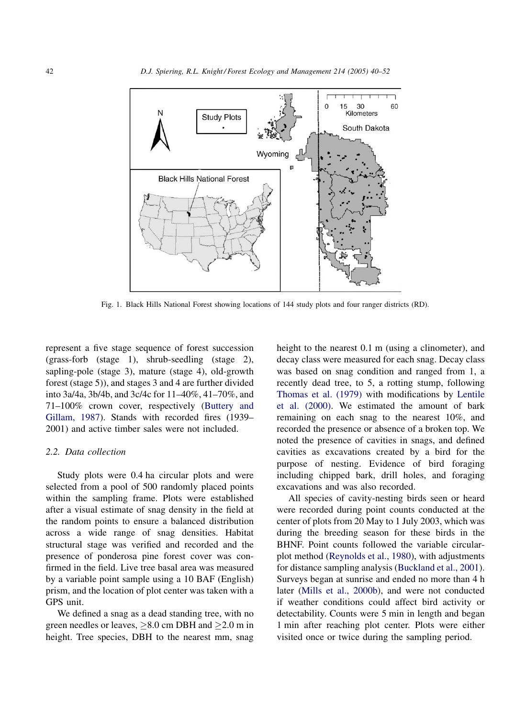<span id="page-2-0"></span>

Fig. 1. Black Hills National Forest showing locations of 144 study plots and four ranger districts (RD).

represent a five stage sequence of forest succession (grass-forb (stage 1), shrub-seedling (stage 2), sapling-pole (stage 3), mature (stage 4), old-growth forest (stage 5)), and stages 3 and 4 are further divided into 3a/4a, 3b/4b, and 3c/4c for 11–40%, 41–70%, and 71–100% crown cover, respectively ([Buttery and](#page-11-0) [Gillam, 1987](#page-11-0)). Stands with recorded fires (1939– 2001) and active timber sales were not included.

#### 2.2. Data collection

Study plots were 0.4 ha circular plots and were selected from a pool of 500 randomly placed points within the sampling frame. Plots were established after a visual estimate of snag density in the field at the random points to ensure a balanced distribution across a wide range of snag densities. Habitat structural stage was verified and recorded and the presence of ponderosa pine forest cover was confirmed in the field. Live tree basal area was measured by a variable point sample using a 10 BAF (English) prism, and the location of plot center was taken with a GPS unit.

We defined a snag as a dead standing tree, with no green needles or leaves,  $\geq 8.0$  cm DBH and  $\geq 2.0$  m in height. Tree species, DBH to the nearest mm, snag height to the nearest 0.1 m (using a clinometer), and decay class were measured for each snag. Decay class was based on snag condition and ranged from 1, a recently dead tree, to 5, a rotting stump, following [Thomas et al. \(1979\)](#page-11-0) with modifications by [Lentile](#page-11-0) [et al. \(2000\)](#page-11-0). We estimated the amount of bark remaining on each snag to the nearest 10%, and recorded the presence or absence of a broken top. We noted the presence of cavities in snags, and defined cavities as excavations created by a bird for the purpose of nesting. Evidence of bird foraging including chipped bark, drill holes, and foraging excavations and was also recorded.

All species of cavity-nesting birds seen or heard were recorded during point counts conducted at the center of plots from 20 May to 1 July 2003, which was during the breeding season for these birds in the BHNF. Point counts followed the variable circularplot method ([Reynolds et al., 1980](#page-11-0)), with adjustments for distance sampling analysis ([Buckland et al., 2001\)](#page-10-0). Surveys began at sunrise and ended no more than 4 h later [\(Mills et al., 2000b\)](#page-11-0), and were not conducted if weather conditions could affect bird activity or detectability. Counts were 5 min in length and began 1 min after reaching plot center. Plots were either visited once or twice during the sampling period.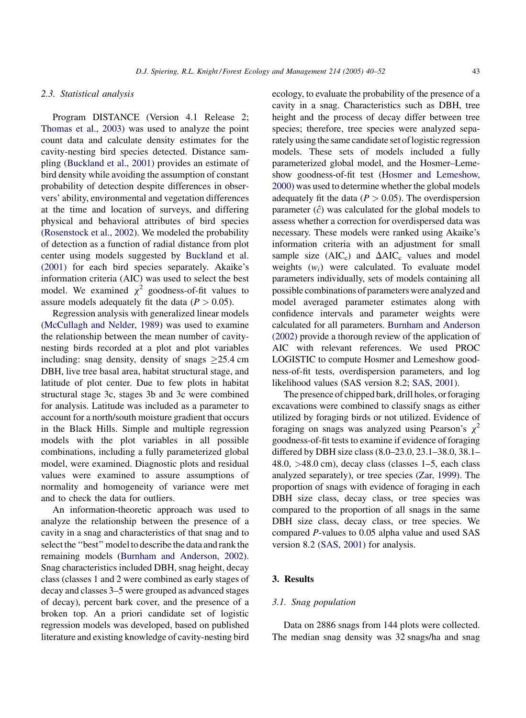#### 2.3. Statistical analysis

Program DISTANCE (Version 4.1 Release 2; [Thomas et al., 2003\)](#page-12-0) was used to analyze the point count data and calculate density estimates for the cavity-nesting bird species detected. Distance sampling ([Buckland et al., 2001\)](#page-10-0) provides an estimate of bird density while avoiding the assumption of constant probability of detection despite differences in observers' ability, environmental and vegetation differences at the time and location of surveys, and differing physical and behavioral attributes of bird species ([Rosenstock et al., 2002\)](#page-11-0). We modeled the probability of detection as a function of radial distance from plot center using models suggested by [Buckland et al.](#page-10-0) [\(2001\)](#page-10-0) for each bird species separately. Akaike's information criteria (AIC) was used to select the best model. We examined  $\chi^2$  goodness-of-fit values to assure models adequately fit the data ( $P > 0.05$ ).

Regression analysis with generalized linear models ([McCullagh and Nelder, 1989](#page-11-0)) was used to examine the relationship between the mean number of cavitynesting birds recorded at a plot and plot variables including: snag density, density of snags  $\geq$ 25.4 cm DBH, live tree basal area, habitat structural stage, and latitude of plot center. Due to few plots in habitat structural stage 3c, stages 3b and 3c were combined for analysis. Latitude was included as a parameter to account for a north/south moisture gradient that occurs in the Black Hills. Simple and multiple regression models with the plot variables in all possible combinations, including a fully parameterized global model, were examined. Diagnostic plots and residual values were examined to assure assumptions of normality and homogeneity of variance were met and to check the data for outliers.

An information-theoretic approach was used to analyze the relationship between the presence of a cavity in a snag and characteristics of that snag and to select the ''best''model to describe the data and rank the remaining models ([Burnham and Anderson, 2002\)](#page-11-0). Snag characteristics included DBH, snag height, decay class (classes 1 and 2 were combined as early stages of decay and classes 3–5 were grouped as advanced stages of decay), percent bark cover, and the presence of a broken top. An a priori candidate set of logistic regression models was developed, based on published literature and existing knowledge of cavity-nesting bird

ecology, to evaluate the probability of the presence of a cavity in a snag. Characteristics such as DBH, tree height and the process of decay differ between tree species; therefore, tree species were analyzed separately using the same candidate set of logistic regression models. These sets of models included a fully parameterized global model, and the Hosmer–Lemeshow goodness-of-fit test [\(Hosmer and Lemeshow,](#page-11-0) [2000](#page-11-0)) was used to determine whether the global models adequately fit the data ( $P > 0.05$ ). The overdispersion parameter  $(\hat{c})$  was calculated for the global models to assess whether a correction for overdispersed data was necessary. These models were ranked using Akaike's information criteria with an adjustment for small sample size  $(AIC_c)$  and  $\Delta AIC_c$  values and model weights  $(w_i)$  were calculated. To evaluate model parameters individually, sets of models containing all possible combinations of parameters were analyzed and model averaged parameter estimates along with confidence intervals and parameter weights were calculated for all parameters. [Burnham and Anderson](#page-11-0) [\(2002\)](#page-11-0) provide a thorough review of the application of AIC with relevant references. We used PROC LOGISTIC to compute Hosmer and Lemeshow goodness-of-fit tests, overdispersion parameters, and log likelihood values (SAS version 8.2; [SAS, 2001](#page-11-0)).

The presence of chipped bark, drill holes, or foraging excavations were combined to classify snags as either utilized by foraging birds or not utilized. Evidence of foraging on snags was analyzed using Pearson's  $\chi^2$ goodness-of-fit tests to examine if evidence of foraging differed by DBH size class (8.0–23.0, 23.1–38.0, 38.1–  $48.0, >48.0$  cm), decay class (classes 1–5, each class analyzed separately), or tree species ([Zar, 1999](#page-12-0)). The proportion of snags with evidence of foraging in each DBH size class, decay class, or tree species was compared to the proportion of all snags in the same DBH size class, decay class, or tree species. We compared P-values to 0.05 alpha value and used SAS version 8.2 [\(SAS, 2001](#page-11-0)) for analysis.

## 3. Results

#### 3.1. Snag population

Data on 2886 snags from 144 plots were collected. The median snag density was 32 snags/ha and snag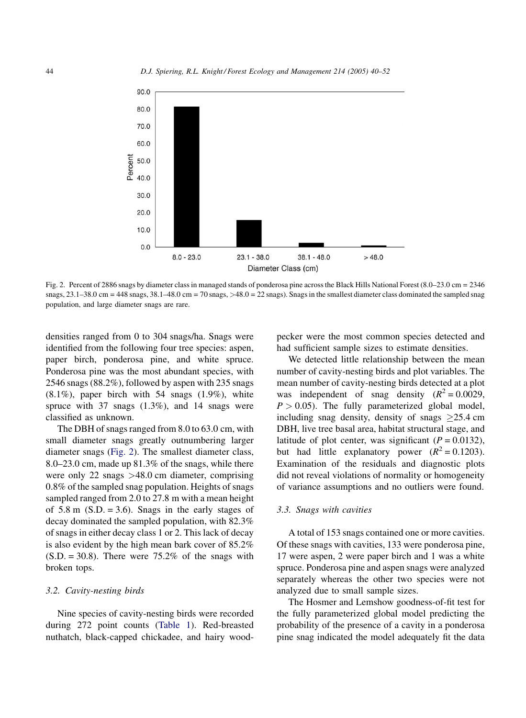<span id="page-4-0"></span>

Fig. 2. Percent of 2886 snags by diameter class in managed stands of ponderosa pine across the Black Hills National Forest (8.0–23.0 cm = 2346 snags,  $23.1-38.0$  cm = 448 snags,  $38.1-48.0$  cm = 70 snags,  $>48.0 = 22$  snags). Snags in the smallest diameter class dominated the sampled snag population, and large diameter snags are rare.

densities ranged from 0 to 304 snags/ha. Snags were identified from the following four tree species: aspen, paper birch, ponderosa pine, and white spruce. Ponderosa pine was the most abundant species, with 2546 snags (88.2%), followed by aspen with 235 snags  $(8.1\%)$ , paper birch with 54 snags  $(1.9\%)$ , white spruce with 37 snags (1.3%), and 14 snags were classified as unknown.

The DBH of snags ranged from 8.0 to 63.0 cm, with small diameter snags greatly outnumbering larger diameter snags (Fig. 2). The smallest diameter class, 8.0–23.0 cm, made up 81.3% of the snags, while there were only 22 snags >48.0 cm diameter, comprising 0.8% of the sampled snag population. Heights of snags sampled ranged from 2.0 to 27.8 m with a mean height of  $5.8 \text{ m}$  (S.D. = 3.6). Snags in the early stages of decay dominated the sampled population, with 82.3% of snags in either decay class 1 or 2. This lack of decay is also evident by the high mean bark cover of 85.2%  $(S.D. = 30.8)$ . There were 75.2% of the snags with broken tops.

## 3.2. Cavity-nesting birds

Nine species of cavity-nesting birds were recorded during 272 point counts [\(Table 1\)](#page-5-0). Red-breasted nuthatch, black-capped chickadee, and hairy woodpecker were the most common species detected and had sufficient sample sizes to estimate densities.

We detected little relationship between the mean number of cavity-nesting birds and plot variables. The mean number of cavity-nesting birds detected at a plot was independent of snag density  $(R^2 = 0.0029)$ ,  $P > 0.05$ ). The fully parameterized global model, including snag density, density of snags  $\geq$ 25.4 cm DBH, live tree basal area, habitat structural stage, and latitude of plot center, was significant  $(P = 0.0132)$ , but had little explanatory power  $(R^2 = 0.1203)$ . Examination of the residuals and diagnostic plots did not reveal violations of normality or homogeneity of variance assumptions and no outliers were found.

#### 3.3. Snags with cavities

A total of 153 snags contained one or more cavities. Of these snags with cavities, 133 were ponderosa pine, 17 were aspen, 2 were paper birch and 1 was a white spruce. Ponderosa pine and aspen snags were analyzed separately whereas the other two species were not analyzed due to small sample sizes.

The Hosmer and Lemshow goodness-of-fit test for the fully parameterized global model predicting the probability of the presence of a cavity in a ponderosa pine snag indicated the model adequately fit the data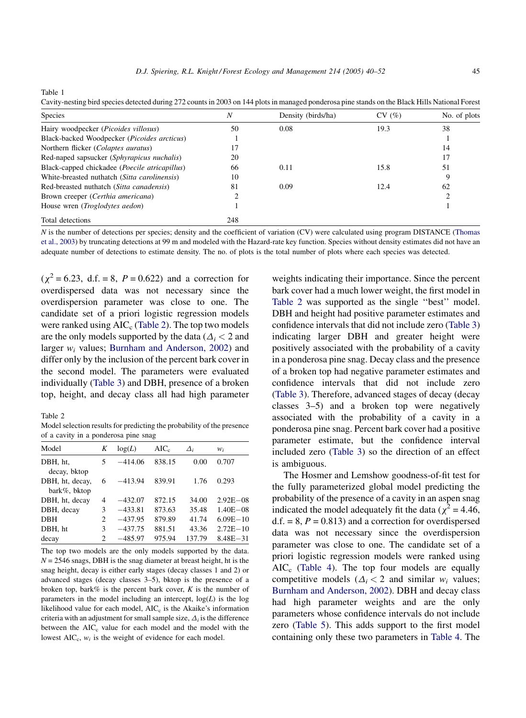<span id="page-5-0"></span>Table 1

Cavity-nesting bird species detected during 272 counts in 2003 on 144 plots in managed ponderosa pine stands on the Black Hills National Forest

| <b>Species</b>                                         | Ν   | Density (birds/ha) | CV(%) | No. of plots |
|--------------------------------------------------------|-----|--------------------|-------|--------------|
| Hairy woodpecker (Picoides villosus)                   | 50  | 0.08               | 19.3  | 38           |
| Black-backed Woodpecker (Picoides arcticus)            |     |                    |       |              |
| Northern flicker (Colaptes auratus)                    |     |                    |       | 14           |
| Red-naped sapsucker (Sphyrapicus nuchalis)             | 20  |                    |       |              |
| Black-capped chickadee ( <i>Poecile atricapillus</i> ) | 66  | 0.11               | 15.8  | 51           |
| White-breasted nuthatch (Sitta carolinensis)           | 10  |                    |       | 9            |
| Red-breasted nuthatch (Sitta canadensis)               | 81  | 0.09               | 12.4  | 62           |
| Brown creeper (Certhia americana)                      |     |                    |       |              |
| House wren ( <i>Troglodytes aedon</i> )                |     |                    |       |              |
| Total detections                                       | 248 |                    |       |              |

 $N$  is the number of detections per species; density and the coefficient of variation (CV) were calculated using program DISTANCE [\(Thomas](#page-12-0) [et al., 2003\)](#page-12-0) by truncating detections at 99 m and modeled with the Hazard-rate key function. Species without density estimates did not have an adequate number of detections to estimate density. The no. of plots is the total number of plots where each species was detected.

 $(\chi^2 = 6.23, d.f. = 8, P = 0.622)$  and a correction for overdispersed data was not necessary since the overdispersion parameter was close to one. The candidate set of a priori logistic regression models were ranked using  $AIC_c$  (Table 2). The top two models are the only models supported by the data ( $\Delta_i$  < 2 and larger  $w_i$  values; [Burnham and Anderson, 2002\)](#page-11-0) and differ only by the inclusion of the percent bark cover in the second model. The parameters were evaluated individually ([Table 3](#page-6-0)) and DBH, presence of a broken top, height, and decay class all had high parameter

Table 2

Model selection results for predicting the probability of the presence of a cavity in a ponderosa pine snag

| Model                           | K | log(L)    | $AIC_c$ | $\Delta_i$ | $W_i$        |
|---------------------------------|---|-----------|---------|------------|--------------|
| DBH, ht,<br>decay, bktop        | 5 | $-414.06$ | 838.15  | 0.00       | 0.707        |
| DBH, ht, decay,<br>bark%, bktop | 6 | $-413.94$ | 839.91  | 1.76       | 0.293        |
| DBH, ht, decay                  | 4 | $-432.07$ | 872.15  | 34.00      | $2.92E - 08$ |
| DBH, decay                      | 3 | $-433.81$ | 873.63  | 35.48      | $1.40E - 08$ |
| <b>DBH</b>                      | 2 | $-437.95$ | 879.89  | 41.74      | $6.09E - 10$ |
| DBH, ht                         | 3 | $-437.75$ | 881.51  | 43.36      | $2.72E - 10$ |
| decay                           | 2 | $-485.97$ | 975.94  | 137.79     | $8.48E - 31$ |

The top two models are the only models supported by the data.  $N = 2546$  snags, DBH is the snag diameter at breast height, ht is the snag height, decay is either early stages (decay classes 1 and 2) or advanced stages (decay classes 3–5), bktop is the presence of a broken top, bark% is the percent bark cover,  $K$  is the number of parameters in the model including an intercept,  $log(L)$  is the log likelihood value for each model,  $AIC_c$  is the Akaike's information criteria with an adjustment for small sample size,  $\Delta_i$  is the difference between the  $AIC_c$  value for each model and the model with the lowest  $AIC_c$ ,  $w_i$  is the weight of evidence for each model.

weights indicating their importance. Since the percent bark cover had a much lower weight, the first model in Table 2 was supported as the single ''best'' model. DBH and height had positive parameter estimates and confidence intervals that did not include zero [\(Table 3\)](#page-6-0) indicating larger DBH and greater height were positively associated with the probability of a cavity in a ponderosa pine snag. Decay class and the presence of a broken top had negative parameter estimates and confidence intervals that did not include zero ([Table 3](#page-6-0)). Therefore, advanced stages of decay (decay classes 3–5) and a broken top were negatively associated with the probability of a cavity in a ponderosa pine snag. Percent bark cover had a positive parameter estimate, but the confidence interval included zero ([Table 3\)](#page-6-0) so the direction of an effect is ambiguous.

The Hosmer and Lemshow goodness-of-fit test for the fully parameterized global model predicting the probability of the presence of a cavity in an aspen snag indicated the model adequately fit the data ( $\chi^2$  = 4.46,  $d.f. = 8, P = 0.813$  and a correction for overdispersed data was not necessary since the overdispersion parameter was close to one. The candidate set of a priori logistic regression models were ranked using  $AIC_c$  ([Table 4](#page-6-0)). The top four models are equally competitive models ( $\Delta_i$  < 2 and similar  $w_i$  values; [Burnham and Anderson, 2002](#page-11-0)). DBH and decay class had high parameter weights and are the only parameters whose confidence intervals do not include zero [\(Table 5](#page-6-0)). This adds support to the first model containing only these two parameters in [Table 4.](#page-6-0) The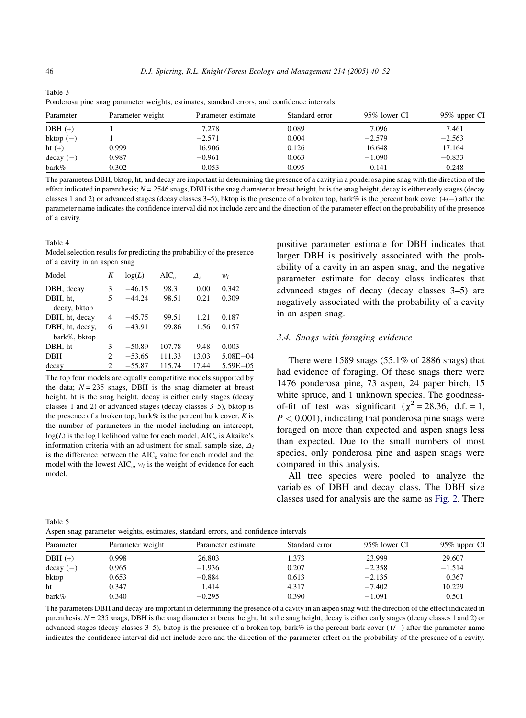| Parameter   | Parameter weight | Parameter estimate | Standard error | 95% lower CI | 95% upper CI |  |
|-------------|------------------|--------------------|----------------|--------------|--------------|--|
| $DBH (+)$   |                  | 7.278              | 0.089          | 7.096        | 7.461        |  |
| bktop $(-)$ |                  | $-2.571$           | 0.004          | $-2.579$     | $-2.563$     |  |
| ht $(+)$    | 0.999            | 16.906             | 0.126          | 16.648       | 17.164       |  |
| $decay (-)$ | 0.987            | $-0.961$           | 0.063          | $-1.090$     | $-0.833$     |  |
| bark%       | 0.302            | 0.053              | 0.095          | $-0.141$     | 0.248        |  |

<span id="page-6-0"></span>Table 3 Ponderosa pine snag parameter weights, estimates, standard errors, and confidence intervals

The parameters DBH, bktop, ht, and decay are important in determining the presence of a cavity in a ponderosa pine snag with the direction of the effect indicated in parenthesis;  $N = 2546$  snags, DBH is the snag diameter at breast height, ht is the snag height, decay is either early stages (decay classes 1 and 2) or advanced stages (decay classes 3–5), bktop is the presence of a broken top, bark% is the percent bark cover  $(+/-)$  after the parameter name indicates the confidence interval did not include zero and the direction of the parameter effect on the probability of the presence of a cavity.

Table 4 Model selection results for predicting the probability of the presence of a cavity in an aspen snag

| Model                           | Κ | log(L)   | $AIC_c$ | $\Delta_i$ | $W_i$        |
|---------------------------------|---|----------|---------|------------|--------------|
| DBH, decay                      | 3 | $-46.15$ | 98.3    | 0.00       | 0.342        |
| DBH, ht,<br>decay, bktop        | 5 | $-44.24$ | 98.51   | 0.21       | 0.309        |
| DBH, ht, decay                  | 4 | $-45.75$ | 99.51   | 1.21       | 0.187        |
| DBH, ht, decay,<br>bark%, bktop | 6 | $-43.91$ | 99.86   | 1.56       | 0.157        |
| DBH, ht                         | 3 | $-50.89$ | 107.78  | 9.48       | 0.003        |
| <b>DBH</b>                      | 2 | $-53.66$ | 111.33  | 13.03      | $5.08E - 04$ |
| decay                           | 2 | $-55.87$ | 115.74  | 17.44      | $5.59E - 05$ |

The top four models are equally competitive models supported by the data;  $N = 235$  snags, DBH is the snag diameter at breast height, ht is the snag height, decay is either early stages (decay classes 1 and 2) or advanced stages (decay classes 3–5), bktop is the presence of a broken top, bark% is the percent bark cover,  $K$  is the number of parameters in the model including an intercept,  $log(L)$  is the log likelihood value for each model, AIC<sub>c</sub> is Akaike's information criteria with an adjustment for small sample size,  $\Delta_i$ is the difference between the  $AIC_c$  value for each model and the model with the lowest  $AIC_c$ ,  $w_i$  is the weight of evidence for each model.

positive parameter estimate for DBH indicates that larger DBH is positively associated with the probability of a cavity in an aspen snag, and the negative parameter estimate for decay class indicates that advanced stages of decay (decay classes 3–5) are negatively associated with the probability of a cavity in an aspen snag.

## 3.4. Snags with foraging evidence

There were 1589 snags (55.1% of 2886 snags) that had evidence of foraging. Of these snags there were 1476 ponderosa pine, 73 aspen, 24 paper birch, 15 white spruce, and 1 unknown species. The goodnessof-fit of test was significant ( $\chi^2 = 28.36$ , d.f. = 1,  $P < 0.001$ ), indicating that ponderosa pine snags were foraged on more than expected and aspen snags less than expected. Due to the small numbers of most species, only ponderosa pine and aspen snags were compared in this analysis.

All tree species were pooled to analyze the variables of DBH and decay class. The DBH size classes used for analysis are the same as [Fig. 2](#page-4-0). There

| Table 5                                                                            |  |
|------------------------------------------------------------------------------------|--|
| Aspen snag parameter weights, estimates, standard errors, and confidence intervals |  |

| Parameter   | Parameter weight | Parameter estimate | Standard error | 95% lower CI | 95% upper CI |  |
|-------------|------------------|--------------------|----------------|--------------|--------------|--|
| $DBH (+)$   | 0.998            | 26.803             | 1.373          | 23.999       | 29.607       |  |
| $decay (-)$ | 0.965            | $-1.936$           | 0.207          | $-2.358$     | $-1.514$     |  |
| bktop       | 0.653            | $-0.884$           | 0.613          | $-2.135$     | 0.367        |  |
| ht          | 0.347            | 1.414              | 4.317          | $-7.402$     | 10.229       |  |
| $bark\%$    | 0.340            | $-0.295$           | 0.390          | $-1.091$     | 0.501        |  |

The parameters DBH and decay are important in determining the presence of a cavity in an aspen snag with the direction of the effect indicated in parenthesis.  $N = 235$  snags, DBH is the snag diameter at breast height, ht is the snag height, decay is either early stages (decay classes 1 and 2) or advanced stages (decay classes 3–5), bktop is the presence of a broken top, bark% is the percent bark cover  $(+/-)$  after the parameter name indicates the confidence interval did not include zero and the direction of the parameter effect on the probability of the presence of a cavity.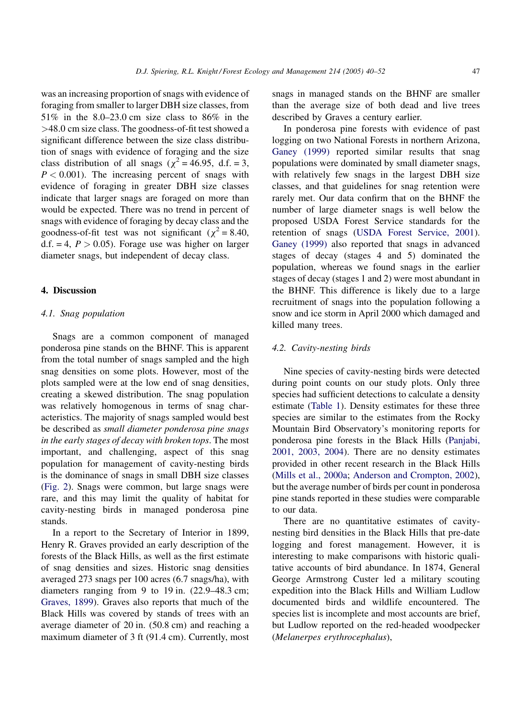was an increasing proportion of snags with evidence of foraging from smaller to larger DBH size classes, from 51% in the 8.0–23.0 cm size class to 86% in the >48.0 cm size class. The goodness-of-fit test showed a significant difference between the size class distribution of snags with evidence of foraging and the size class distribution of all snags ( $\chi^2$  = 46.95, d.f. = 3,  $P < 0.001$ ). The increasing percent of snags with evidence of foraging in greater DBH size classes indicate that larger snags are foraged on more than would be expected. There was no trend in percent of snags with evidence of foraging by decay class and the goodness-of-fit test was not significant ( $\chi^2 = 8.40$ , d.f. = 4,  $P > 0.05$ ). Forage use was higher on larger diameter snags, but independent of decay class.

# 4. Discussion

## 4.1. Snag population

Snags are a common component of managed ponderosa pine stands on the BHNF. This is apparent from the total number of snags sampled and the high snag densities on some plots. However, most of the plots sampled were at the low end of snag densities, creating a skewed distribution. The snag population was relatively homogenous in terms of snag characteristics. The majority of snags sampled would best be described as small diameter ponderosa pine snags in the early stages of decay with broken tops. The most important, and challenging, aspect of this snag population for management of cavity-nesting birds is the dominance of snags in small DBH size classes ([Fig. 2](#page-4-0)). Snags were common, but large snags were rare, and this may limit the quality of habitat for cavity-nesting birds in managed ponderosa pine stands.

In a report to the Secretary of Interior in 1899, Henry R. Graves provided an early description of the forests of the Black Hills, as well as the first estimate of snag densities and sizes. Historic snag densities averaged 273 snags per 100 acres (6.7 snags/ha), with diameters ranging from 9 to 19 in. (22.9–48.3 cm; [Graves, 1899\)](#page-11-0). Graves also reports that much of the Black Hills was covered by stands of trees with an average diameter of 20 in. (50.8 cm) and reaching a maximum diameter of 3 ft (91.4 cm). Currently, most snags in managed stands on the BHNF are smaller than the average size of both dead and live trees described by Graves a century earlier.

In ponderosa pine forests with evidence of past logging on two National Forests in northern Arizona, [Ganey \(1999\)](#page-11-0) reported similar results that snag populations were dominated by small diameter snags, with relatively few snags in the largest DBH size classes, and that guidelines for snag retention were rarely met. Our data confirm that on the BHNF the number of large diameter snags is well below the proposed USDA Forest Service standards for the retention of snags ([USDA Forest Service, 2001](#page-12-0)). [Ganey \(1999\)](#page-11-0) also reported that snags in advanced stages of decay (stages 4 and 5) dominated the population, whereas we found snags in the earlier stages of decay (stages 1 and 2) were most abundant in the BHNF. This difference is likely due to a large recruitment of snags into the population following a snow and ice storm in April 2000 which damaged and killed many trees.

### 4.2. Cavity-nesting birds

Nine species of cavity-nesting birds were detected during point counts on our study plots. Only three species had sufficient detections to calculate a density estimate ([Table 1\)](#page-5-0). Density estimates for these three species are similar to the estimates from the Rocky Mountain Bird Observatory's monitoring reports for ponderosa pine forests in the Black Hills [\(Panjabi,](#page-11-0) [2001, 2003, 2004\)](#page-11-0). There are no density estimates provided in other recent research in the Black Hills ([Mills et al., 2000a](#page-11-0); [Anderson and Crompton, 2002](#page-10-0)), but the average number of birds per count in ponderosa pine stands reported in these studies were comparable to our data.

There are no quantitative estimates of cavitynesting bird densities in the Black Hills that pre-date logging and forest management. However, it is interesting to make comparisons with historic qualitative accounts of bird abundance. In 1874, General George Armstrong Custer led a military scouting expedition into the Black Hills and William Ludlow documented birds and wildlife encountered. The species list is incomplete and most accounts are brief, but Ludlow reported on the red-headed woodpecker (Melanerpes erythrocephalus),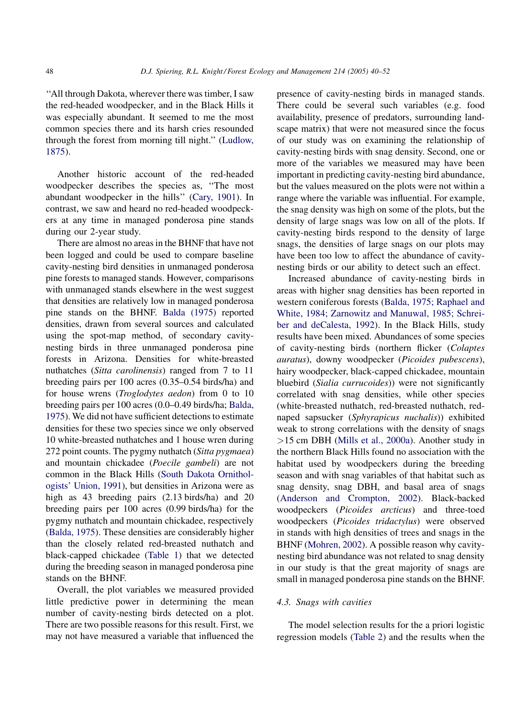''All through Dakota, wherever there was timber, I saw the red-headed woodpecker, and in the Black Hills it was especially abundant. It seemed to me the most common species there and its harsh cries resounded through the forest from morning till night.'' ([Ludlow,](#page-11-0) [1875](#page-11-0)).

Another historic account of the red-headed woodpecker describes the species as, ''The most abundant woodpecker in the hills'' [\(Cary, 1901\)](#page-11-0). In contrast, we saw and heard no red-headed woodpeckers at any time in managed ponderosa pine stands during our 2-year study.

There are almost no areas in the BHNF that have not been logged and could be used to compare baseline cavity-nesting bird densities in unmanaged ponderosa pine forests to managed stands. However, comparisons with unmanaged stands elsewhere in the west suggest that densities are relatively low in managed ponderosa pine stands on the BHNF. [Balda \(1975\)](#page-10-0) reported densities, drawn from several sources and calculated using the spot-map method, of secondary cavitynesting birds in three unmanaged ponderosa pine forests in Arizona. Densities for white-breasted nuthatches (Sitta carolinensis) ranged from 7 to 11 breeding pairs per 100 acres (0.35–0.54 birds/ha) and for house wrens (Troglodytes aedon) from 0 to 10 breeding pairs per 100 acres (0.0–0.49 birds/ha; [Balda,](#page-10-0) [1975](#page-10-0)). We did not have sufficient detections to estimate densities for these two species since we only observed 10 white-breasted nuthatches and 1 house wren during 272 point counts. The pygmy nuthatch (Sitta pygmaea) and mountain chickadee (Poecile gambeli) are not common in the Black Hills ([South Dakota Ornithol](#page-11-0)ogists' [Union, 1991](#page-11-0)), but densities in Arizona were as high as 43 breeding pairs (2.13 birds/ha) and 20 breeding pairs per 100 acres (0.99 birds/ha) for the pygmy nuthatch and mountain chickadee, respectively ([Balda, 1975](#page-10-0)). These densities are considerably higher than the closely related red-breasted nuthatch and black-capped chickadee [\(Table 1\)](#page-5-0) that we detected during the breeding season in managed ponderosa pine stands on the BHNF.

Overall, the plot variables we measured provided little predictive power in determining the mean number of cavity-nesting birds detected on a plot. There are two possible reasons for this result. First, we may not have measured a variable that influenced the

presence of cavity-nesting birds in managed stands. There could be several such variables (e.g. food availability, presence of predators, surrounding landscape matrix) that were not measured since the focus of our study was on examining the relationship of cavity-nesting birds with snag density. Second, one or more of the variables we measured may have been important in predicting cavity-nesting bird abundance, but the values measured on the plots were not within a range where the variable was influential. For example, the snag density was high on some of the plots, but the density of large snags was low on all of the plots. If cavity-nesting birds respond to the density of large snags, the densities of large snags on our plots may have been too low to affect the abundance of cavitynesting birds or our ability to detect such an effect.

Increased abundance of cavity-nesting birds in areas with higher snag densities has been reported in western coniferous forests ([Balda, 1975; Raphael and](#page-10-0) [White, 1984; Zarnowitz and Manuwal, 1985; Schrei](#page-10-0)[ber and deCalesta, 1992\)](#page-10-0). In the Black Hills, study results have been mixed. Abundances of some species of cavity-nesting birds (northern flicker (Colaptes auratus), downy woodpecker (Picoides pubescens), hairy woodpecker, black-capped chickadee, mountain bluebird (Sialia currucoides)) were not significantly correlated with snag densities, while other species (white-breasted nuthatch, red-breasted nuthatch, rednaped sapsucker (Sphyrapicus nuchalis)) exhibited weak to strong correlations with the density of snags >15 cm DBH ([Mills et al., 2000a](#page-11-0)). Another study in the northern Black Hills found no association with the habitat used by woodpeckers during the breeding season and with snag variables of that habitat such as snag density, snag DBH, and basal area of snags ([Anderson and Crompton, 2002](#page-10-0)). Black-backed woodpeckers (Picoides arcticus) and three-toed woodpeckers (Picoides tridactylus) were observed in stands with high densities of trees and snags in the BHNF [\(Mohren, 2002\)](#page-11-0). A possible reason why cavitynesting bird abundance was not related to snag density in our study is that the great majority of snags are small in managed ponderosa pine stands on the BHNF.

## 4.3. Snags with cavities

The model selection results for the a priori logistic regression models ([Table 2](#page-5-0)) and the results when the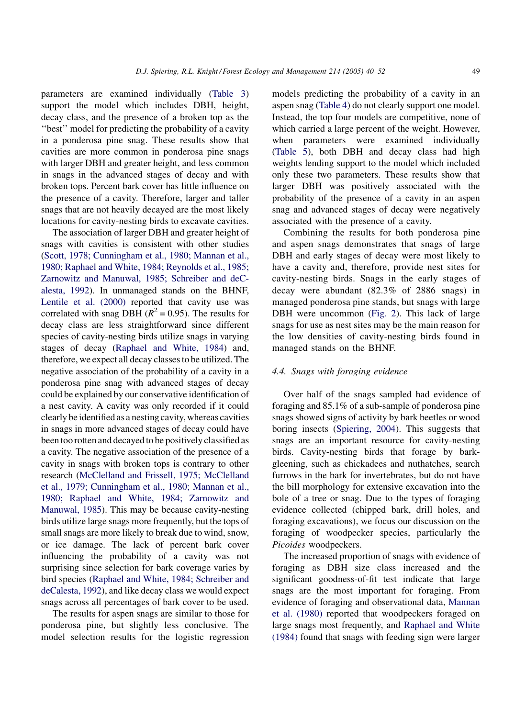parameters are examined individually ([Table 3](#page-6-0)) support the model which includes DBH, height, decay class, and the presence of a broken top as the ''best'' model for predicting the probability of a cavity in a ponderosa pine snag. These results show that cavities are more common in ponderosa pine snags with larger DBH and greater height, and less common in snags in the advanced stages of decay and with broken tops. Percent bark cover has little influence on the presence of a cavity. Therefore, larger and taller snags that are not heavily decayed are the most likely locations for cavity-nesting birds to excavate cavities.

The association of larger DBH and greater height of snags with cavities is consistent with other studies ([Scott, 1978; Cunningham et al., 1980; Mannan et al.,](#page-11-0) [1980; Raphael and White, 1984; Reynolds et al., 1985;](#page-11-0) [Zarnowitz and Manuwal, 1985; Schreiber and deC](#page-11-0)[alesta, 1992](#page-11-0)). In unmanaged stands on the BHNF, [Lentile et al. \(2000\)](#page-11-0) reported that cavity use was correlated with snag DBH ( $R^2$  = 0.95). The results for decay class are less straightforward since different species of cavity-nesting birds utilize snags in varying stages of decay ([Raphael and White, 1984](#page-11-0)) and, therefore, we expect all decay classes to be utilized. The negative association of the probability of a cavity in a ponderosa pine snag with advanced stages of decay could be explained by our conservative identification of a nest cavity. A cavity was only recorded if it could clearly be identified as a nesting cavity, whereas cavities in snags in more advanced stages of decay could have been too rotten and decayed to be positively classified as a cavity. The negative association of the presence of a cavity in snags with broken tops is contrary to other research [\(McClelland and Frissell, 1975; McClelland](#page-11-0) [et al., 1979; Cunningham et al., 1980; Mannan et al.,](#page-11-0) [1980; Raphael and White, 1984; Zarnowitz and](#page-11-0) [Manuwal, 1985](#page-11-0)). This may be because cavity-nesting birds utilize large snags more frequently, but the tops of small snags are more likely to break due to wind, snow, or ice damage. The lack of percent bark cover influencing the probability of a cavity was not surprising since selection for bark coverage varies by bird species ([Raphael and White, 1984; Schreiber and](#page-11-0) [deCalesta, 1992](#page-11-0)), and like decay class we would expect snags across all percentages of bark cover to be used.

The results for aspen snags are similar to those for ponderosa pine, but slightly less conclusive. The model selection results for the logistic regression

models predicting the probability of a cavity in an aspen snag [\(Table 4](#page-6-0)) do not clearly support one model. Instead, the top four models are competitive, none of which carried a large percent of the weight. However, when parameters were examined individually ([Table 5](#page-6-0)), both DBH and decay class had high weights lending support to the model which included only these two parameters. These results show that larger DBH was positively associated with the probability of the presence of a cavity in an aspen snag and advanced stages of decay were negatively associated with the presence of a cavity.

Combining the results for both ponderosa pine and aspen snags demonstrates that snags of large DBH and early stages of decay were most likely to have a cavity and, therefore, provide nest sites for cavity-nesting birds. Snags in the early stages of decay were abundant (82.3% of 2886 snags) in managed ponderosa pine stands, but snags with large DBH were uncommon [\(Fig. 2\)](#page-4-0). This lack of large snags for use as nest sites may be the main reason for the low densities of cavity-nesting birds found in managed stands on the BHNF.

## 4.4. Snags with foraging evidence

Over half of the snags sampled had evidence of foraging and 85.1% of a sub-sample of ponderosa pine snags showed signs of activity by bark beetles or wood boring insects [\(Spiering, 2004](#page-11-0)). This suggests that snags are an important resource for cavity-nesting birds. Cavity-nesting birds that forage by barkgleening, such as chickadees and nuthatches, search furrows in the bark for invertebrates, but do not have the bill morphology for extensive excavation into the bole of a tree or snag. Due to the types of foraging evidence collected (chipped bark, drill holes, and foraging excavations), we focus our discussion on the foraging of woodpecker species, particularly the Picoides woodpeckers.

The increased proportion of snags with evidence of foraging as DBH size class increased and the significant goodness-of-fit test indicate that large snags are the most important for foraging. From evidence of foraging and observational data, [Mannan](#page-11-0) [et al. \(1980\)](#page-11-0) reported that woodpeckers foraged on large snags most frequently, and [Raphael and White](#page-11-0) [\(1984\)](#page-11-0) found that snags with feeding sign were larger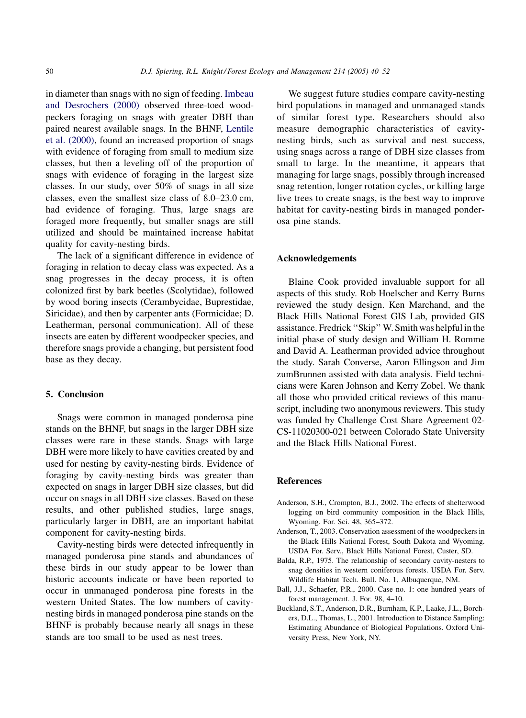<span id="page-10-0"></span>in diameter than snags with no sign of feeding. [Imbeau](#page-11-0) [and Desrochers \(2000\)](#page-11-0) observed three-toed woodpeckers foraging on snags with greater DBH than paired nearest available snags. In the BHNF, [Lentile](#page-11-0) [et al. \(2000\),](#page-11-0) found an increased proportion of snags with evidence of foraging from small to medium size classes, but then a leveling off of the proportion of snags with evidence of foraging in the largest size classes. In our study, over 50% of snags in all size classes, even the smallest size class of 8.0–23.0 cm, had evidence of foraging. Thus, large snags are foraged more frequently, but smaller snags are still utilized and should be maintained increase habitat quality for cavity-nesting birds.

The lack of a significant difference in evidence of foraging in relation to decay class was expected. As a snag progresses in the decay process, it is often colonized first by bark beetles (Scolytidae), followed by wood boring insects (Cerambycidae, Buprestidae, Siricidae), and then by carpenter ants (Formicidae; D. Leatherman, personal communication). All of these insects are eaten by different woodpecker species, and therefore snags provide a changing, but persistent food base as they decay.

### 5. Conclusion

Snags were common in managed ponderosa pine stands on the BHNF, but snags in the larger DBH size classes were rare in these stands. Snags with large DBH were more likely to have cavities created by and used for nesting by cavity-nesting birds. Evidence of foraging by cavity-nesting birds was greater than expected on snags in larger DBH size classes, but did occur on snags in all DBH size classes. Based on these results, and other published studies, large snags, particularly larger in DBH, are an important habitat component for cavity-nesting birds.

Cavity-nesting birds were detected infrequently in managed ponderosa pine stands and abundances of these birds in our study appear to be lower than historic accounts indicate or have been reported to occur in unmanaged ponderosa pine forests in the western United States. The low numbers of cavitynesting birds in managed ponderosa pine stands on the BHNF is probably because nearly all snags in these stands are too small to be used as nest trees.

We suggest future studies compare cavity-nesting bird populations in managed and unmanaged stands of similar forest type. Researchers should also measure demographic characteristics of cavitynesting birds, such as survival and nest success, using snags across a range of DBH size classes from small to large. In the meantime, it appears that managing for large snags, possibly through increased snag retention, longer rotation cycles, or killing large live trees to create snags, is the best way to improve habitat for cavity-nesting birds in managed ponderosa pine stands.

## Acknowledgements

Blaine Cook provided invaluable support for all aspects of this study. Rob Hoelscher and Kerry Burns reviewed the study design. Ken Marchand, and the Black Hills National Forest GIS Lab, provided GIS assistance. Fredrick ''Skip''W. Smith was helpful in the initial phase of study design and William H. Romme and David A. Leatherman provided advice throughout the study. Sarah Converse, Aaron Ellingson and Jim zumBrunnen assisted with data analysis. Field technicians were Karen Johnson and Kerry Zobel. We thank all those who provided critical reviews of this manuscript, including two anonymous reviewers. This study was funded by Challenge Cost Share Agreement 02- CS-11020300-021 between Colorado State University and the Black Hills National Forest.

### References

- Anderson, S.H., Crompton, B.J., 2002. The effects of shelterwood logging on bird community composition in the Black Hills, Wyoming. For. Sci. 48, 365–372.
- Anderson, T., 2003. Conservation assessment of the woodpeckers in the Black Hills National Forest, South Dakota and Wyoming. USDA For. Serv., Black Hills National Forest, Custer, SD.
- Balda, R.P., 1975. The relationship of secondary cavity-nesters to snag densities in western coniferous forests. USDA For. Serv. Wildlife Habitat Tech. Bull. No. 1, Albuquerque, NM.
- Ball, J.J., Schaefer, P.R., 2000. Case no. 1: one hundred years of forest management. J. For. 98, 4–10.
- Buckland, S.T., Anderson, D.R., Burnham, K.P., Laake, J.L., Borchers, D.L., Thomas, L., 2001. Introduction to Distance Sampling: Estimating Abundance of Biological Populations. Oxford University Press, New York, NY.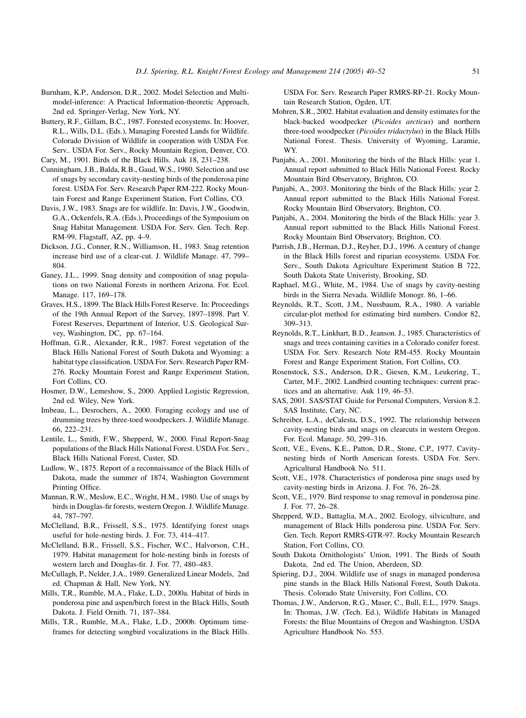- <span id="page-11-0"></span>Burnham, K.P., Anderson, D.R., 2002. Model Selection and Multimodel-inference: A Practical Information-theoretic Approach, 2nd ed. Springer-Verlag, New York, NY.
- Buttery, R.F., Gillam, B.C., 1987. Forested ecosystems. In: Hoover, R.L., Wills, D.L. (Eds.), Managing Forested Lands for Wildlife. Colorado Division of Wildlife in cooperation with USDA For. Serv.. USDA For. Serv., Rocky Mountain Region, Denver, CO.

Cary, M., 1901. Birds of the Black Hills. Auk 18, 231–238.

- Cunningham, J.B., Balda, R.B., Gaud, W.S., 1980. Selection and use of snags by secondary cavity-nesting birds of the ponderosa pine forest. USDA For. Serv. Research Paper RM-222. Rocky Mountain Forest and Range Experiment Station, Fort Collins, CO.
- Davis, J.W., 1983. Snags are for wildlife. In: Davis, J.W., Goodwin, G.A., Ockenfels, R.A. (Eds.), Proceedings of the Symposium on Snag Habitat Management. USDA For. Serv. Gen. Tech. Rep. RM-99, Flagstaff, AZ, pp. 4–9.
- Dickson, J.G., Conner, R.N., Williamson, H., 1983. Snag retention increase bird use of a clear-cut. J. Wildlife Manage. 47, 799– 804.
- Ganey, J.L., 1999. Snag density and composition of snag populations on two National Forests in northern Arizona. For. Ecol. Manage. 117, 169–178.
- Graves, H.S., 1899. The Black Hills Forest Reserve. In: Proceedings of the 19th Annual Report of the Survey, 1897–1898. Part V. Forest Reserves, Department of Interior, U.S. Geological Survey, Washington, DC, pp. 67–164.
- Hoffman, G.R., Alexander, R.R., 1987. Forest vegetation of the Black Hills National Forest of South Dakota and Wyoming: a habitat type classification. USDA For. Serv. Research Paper RM-276. Rocky Mountain Forest and Range Experiment Station, Fort Collins, CO.
- Hosmer, D.W., Lemeshow, S., 2000. Applied Logistic Regression, 2nd ed. Wiley, New York.
- Imbeau, L., Desrochers, A., 2000. Foraging ecology and use of drumming trees by three-toed woodpeckers. J. Wildlife Manage. 66, 222–231.
- Lentile, L., Smith, F.W., Shepperd, W., 2000. Final Report-Snag populations of the Black Hills National Forest. USDA For. Serv., Black Hills National Forest, Custer, SD.
- Ludlow, W., 1875. Report of a reconnaissance of the Black Hills of Dakota, made the summer of 1874, Washington Government Printing Office.
- Mannan, R.W., Meslow, E.C., Wright, H.M., 1980. Use of snags by birds in Douglas-fir forests, western Oregon. J. Wildlife Manage. 44, 787–797.
- McClelland, B.R., Frissell, S.S., 1975. Identifying forest snags useful for hole-nesting birds. J. For. 73, 414–417.
- McClelland, B.R., Frissell, S.S., Fischer, W.C., Halvorson, C.H., 1979. Habitat management for hole-nesting birds in forests of western larch and Douglas-fir. J. For. 77, 480–483.
- McCullagh, P., Nelder, J.A., 1989. Generalized Linear Models, 2nd ed. Chapman & Hall, New York, NY.
- Mills, T.R., Rumble, M.A., Flake, L.D., 2000a. Habitat of birds in ponderosa pine and aspen/birch forest in the Black Hills, South Dakota. J. Field Ornith. 71, 187–384.
- Mills, T.R., Rumble, M.A., Flake, L.D., 2000b. Optimum timeframes for detecting songbird vocalizations in the Black Hills.

USDA For. Serv. Research Paper RMRS-RP-21. Rocky Mountain Research Station, Ogden, UT.

- Mohren, S.R., 2002. Habitat evaluation and density estimates for the black-backed woodpecker (Picoides arcticus) and northern three-toed woodpecker (Picoides tridactylus) in the Black Hills National Forest. Thesis. University of Wyoming, Laramie, WY.
- Panjabi, A., 2001. Monitoring the birds of the Black Hills: year 1. Annual report submitted to Black Hills National Forest. Rocky Mountain Bird Observatory, Brighton, CO.
- Panjabi, A., 2003. Monitoring the birds of the Black Hills: year 2. Annual report submitted to the Black Hills National Forest. Rocky Mountain Bird Observatory, Brighton, CO.
- Panjabi, A., 2004. Monitoring the birds of the Black Hills: year 3. Annual report submitted to the Black Hills National Forest. Rocky Mountain Bird Observatory, Brighton, CO.
- Parrish, J.B., Herman, D.J., Reyher, D.J., 1996. A century of change in the Black Hills forest and riparian ecosystems. USDA For. Serv., South Dakota Agriculture Experiment Station B 722, South Dakota State Univeristy, Brooking, SD.
- Raphael, M.G., White, M., 1984. Use of snags by cavity-nesting birds in the Sierra Nevada. Wildlife Monogr. 86, 1–66.
- Reynolds, R.T., Scott, J.M., Nussbaum, R.A., 1980. A variable circular-plot method for estimating bird numbers. Condor 82, 309–313.
- Reynolds, R.T., Linkhart, B.D., Jeanson. J., 1985. Characteristics of snags and trees containing cavities in a Colorado conifer forest. USDA For. Serv. Research Note RM-455. Rocky Mountain Forest and Range Experiment Station, Fort Collins, CO.
- Rosenstock, S.S., Anderson, D.R., Giesen, K.M., Leukering, T., Carter, M.F., 2002. Landbird counting techniques: current practices and an alternative. Auk 119, 46–53.
- SAS, 2001. SAS/STAT Guide for Personal Computers, Version 8.2. SAS Institute, Cary, NC.
- Schreiber, L.A., deCalesta, D.S., 1992. The relationship between cavity-nesting birds and snags on clearcuts in western Oregon. For. Ecol. Manage. 50, 299–316.
- Scott, V.E., Evens, K.E., Patton, D.R., Stone, C.P., 1977. Cavitynesting birds of North American forests. USDA For. Serv. Agricultural Handbook No. 511.
- Scott, V.E., 1978. Characteristics of ponderosa pine snags used by cavity-nesting birds in Arizona. J. For. 76, 26–28.
- Scott, V.E., 1979. Bird response to snag removal in ponderosa pine. J. For. 77, 26–28.
- Shepperd, W.D., Battaglia, M.A., 2002. Ecology, silviculture, and management of Black Hills ponderosa pine. USDA For. Serv. Gen. Tech. Report RMRS-GTR-97. Rocky Mountain Research Station, Fort Collins, CO.
- South Dakota Ornithologists' Union, 1991. The Birds of South Dakota, 2nd ed. The Union, Aberdeen, SD.
- Spiering, D.J., 2004. Wildlife use of snags in managed ponderosa pine stands in the Black Hills National Forest, South Dakota. Thesis. Colorado State University, Fort Collins, CO.
- Thomas, J.W., Anderson, R.G., Maser, C., Bull, E.L., 1979. Snags. In: Thomas, J.W. (Tech. Ed.), Wildlife Habitats in Managed Forests: the Blue Mountains of Oregon and Washington. USDA Agriculture Handbook No. 553.